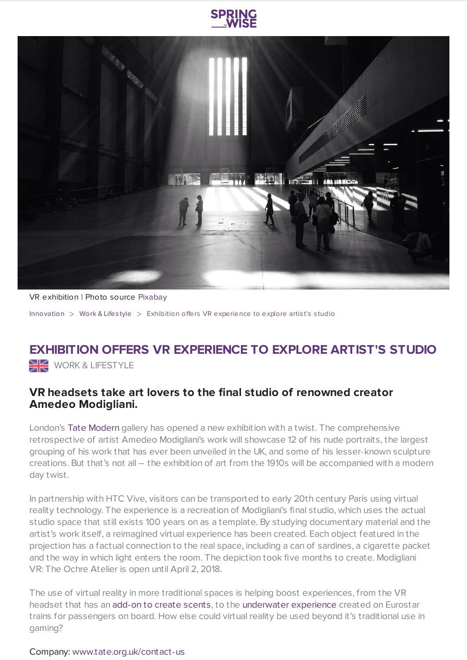



VR exhibition | Photo source [Pixabay](https://pixabay.com/en/building-people-waiting-shadows-380450/)

[Innovation](https://www.springwise.com/search?type=innovation) > [Work](https://www.springwise.com/search?type=innovation§or=work-lifestyle) & Lifestyle > Exhibition offers VR experience to explore artist's studio

## **EXHIBITION OFFERS VR EXPERIENCE TO EXPLORE ARTIST'S STUDIO WORK & LIFESTYLE**

## **VR headsets take art lovers to the final studio of renowned creator Amedeo Modigliani.**

London's Tate [Modern](http://www.tate.org.uk/) gallery has opened a new exhibition with a twist. The comprehensive retrospective of artist Amedeo Modigliani's work will showcase 12 of his nude portraits, the largest grouping of his work that has ever been unveiled in the UK, and some of his lesser-known sculpture creations. But that's not all – the exhibition of art from the 1910s will be accompanied with a modern day twist.

In partnership with HTC Vive, visitors can be transported to early 20th century Paris using virtual reality technology. The experience is a recreation of Modigliani's final studio, which uses the actual studio space that still exists 100 years on as a template. By studying documentary material and the artist's work itself, a reimagined virtual experience has been created. Each object featured in the projection has a factual connection to the real space, including a can of sardines, a cigarette packet and the way in which light enters the room. The depiction took five months to create. Modigliani VR: The Ochre Atelier is open until April 2, 2018.

The use of virtual reality in more traditional spaces is helping boost experiences, from the VR headset that has an [add-on](https://www.springwise.com/vr-headset-add-creates-scents-wearers/) to create scents, to the [underwater](https://www.springwise.com/eurostar-lets-experience-underwater-using-virtual-reality/) experience created on Eurostar trains for passengers on board. How else could virtual reality be used beyond it's traditional use in gaming?

## Company: [www.tate.org.uk/contact-us](http://www.tate.org.uk/about-us/contact-us)